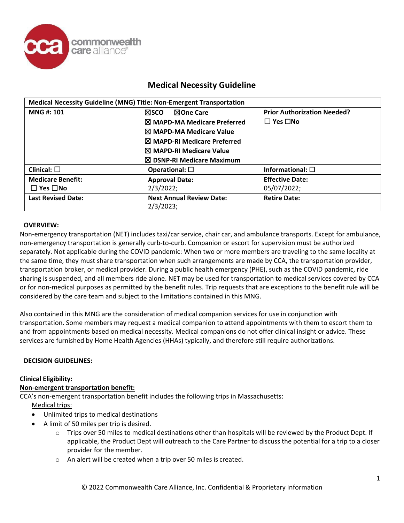

| Medical Necessity Guideline (MNG) Title: Non-Emergent Transportation |                                              |                                    |
|----------------------------------------------------------------------|----------------------------------------------|------------------------------------|
| <b>MNG#: 101</b>                                                     | ⊠One Care<br>l⊠sco                           | <b>Prior Authorization Needed?</b> |
|                                                                      | <b>IX MAPD-MA Medicare Preferred</b>         | $\Box$ Yes $\Box$ No               |
|                                                                      | <b>IX MAPD-MA Medicare Value</b>             |                                    |
|                                                                      | I⊠ MAPD-RI Medicare Preferred                |                                    |
|                                                                      | I⊠ MAPD-RI Medicare Value                    |                                    |
|                                                                      | $\boxtimes$ DSNP-RI Medicare Maximum         |                                    |
| Clinical: $\square$                                                  | Operational: $\square$                       | Informational: $\square$           |
| <b>Medicare Benefit:</b>                                             | <b>Approval Date:</b>                        | <b>Effective Date:</b>             |
| $\square$ Yes $\square$ No                                           | 2/3/2022;                                    | 05/07/2022;                        |
| <b>Last Revised Date:</b>                                            | <b>Next Annual Review Date:</b><br>2/3/2023; | <b>Retire Date:</b>                |

## **OVERVIEW:**

Non-emergency transportation (NET) includes taxi/car service, chair car, and ambulance transports. Except for ambulance, non-emergency transportation is generally curb-to-curb. Companion or escort for supervision must be authorized separately. Not applicable during the COVID pandemic: When two or more members are traveling to the same locality at the same time, they must share transportation when such arrangements are made by CCA, the transportation provider, transportation broker, or medical provider. During a public health emergency (PHE), such as the COVID pandemic, ride sharing is suspended, and all members ride alone. NET may be used for transportation to medical services covered by CCA or for non-medical purposes as permitted by the benefit rules. Trip requests that are exceptions to the benefit rule will be considered by the care team and subject to the limitations contained in this MNG.

Also contained in this MNG are the consideration of medical companion services for use in conjunction with transportation. Some members may request a medical companion to attend appointments with them to escort them to and from appointments based on medical necessity. Medical companions do not offer clinical insight or advice. These services are furnished by Home Health Agencies (HHAs) typically, and therefore still require authorizations.

#### **DECISION GUIDELINES:**

#### **Clinical Eligibility:**

# **Non-emergent transportation benefit:**

CCA's non-emergent transportation benefit includes the following trips in Massachusetts:

Medical trips:

- Unlimited trips to medical destinations
- A limit of 50 miles per trip is desired.
	- o Trips over 50 miles to medical destinations other than hospitals will be reviewed by the Product Dept. If applicable, the Product Dept will outreach to the Care Partner to discuss the potential for a trip to a closer provider for the member.
	- o An alert will be created when a trip over 50 miles is created.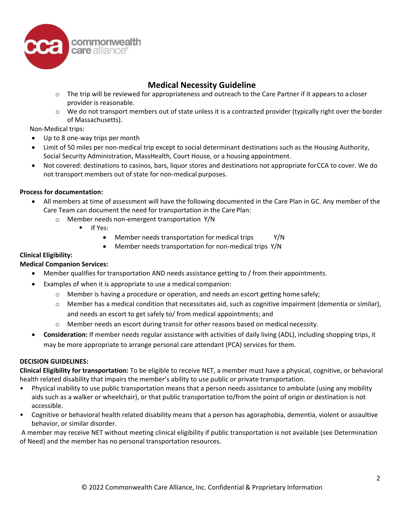

- o The trip will be reviewed for appropriateness and outreach to the Care Partner if it appears to a closer provider is reasonable.
- o We do not transport members out of state unless it is a contracted provider (typically right over the border of Massachusetts).

### Non-Medical trips:

- Up to 8 one-way trips per month
- Limit of 50 miles per non-medical trip except to social determinant destinations such as the Housing Authority, Social Security Administration, MassHealth, Court House, or a housing appointment.
- Not covered: destinations to casinos, bars, liquor stores and destinations not appropriate forCCA to cover. We do not transport members out of state for non-medical purposes.

## **Process for documentation:**

- All members at time of assessment will have the following documented in the Care Plan in GC. Any member of the Care Team can document the need for transportation in the Care Plan:
	- o Member needs non-emergent transportation Y/N
		- $I = \text{If } Y \in S$ :
			- Member needs transportation for medical trips Y/N
			- Member needs transportation for non-medical trips Y/N

## **Clinical Eligibility:**

# **Medical Companion Services:**

- Member qualifies for transportation AND needs assistance getting to / from their appointments.
- Examples of when it is appropriate to use a medical companion:
	- o Member is having a procedure or operation, and needs an escort getting home safely;
	- o Member has a medical condition that necessitates aid, such as cognitive impairment (dementia or similar), and needs an escort to get safely to/ from medical appointments; and
	- $\circ$  Member needs an escort during transit for other reasons based on medical necessity.
- **Consideration:** If member needs regular assistance with activities of daily living (ADL), including shopping trips, it may be more appropriate to arrange personal care attendant (PCA) services for them.

#### **DECISION GUIDELINES:**

**Clinical Eligibility for transportation:** To be eligible to receive NET, a member must have a physical, cognitive, or behavioral health related disability that impairs the member's ability to use public or private transportation.

- Physical inability to use public transportation means that a person needs assistance to ambulate (using any mobility aids such as a walker or wheelchair), or that public transportation to/from the point of origin or destination is not accessible.
- Cognitive or behavioral health related disability means that a person has agoraphobia, dementia, violent or assaultive behavior, or similar disorder.

A member may receive NET without meeting clinical eligibility if public transportation is not available (see Determination of Need) and the member has no personal transportation resources.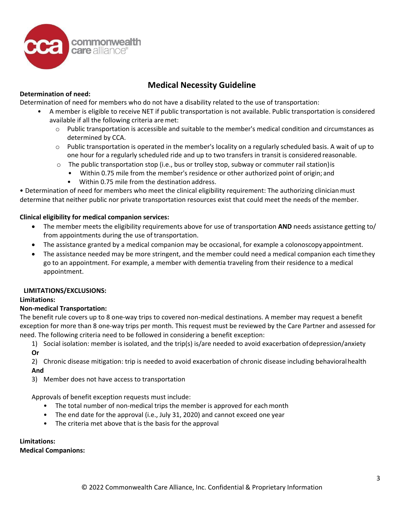

# **Determination of need:**

Determination of need for members who do not have a disability related to the use of transportation:

- A member is eligible to receive NET if public transportation is not available. Public transportation is considered available if all the following criteria are met:
	- $\circ$  Public transportation is accessible and suitable to the member's medical condition and circumstances as determined by CCA.
	- $\circ$  Public transportation is operated in the member's locality on a regularly scheduled basis. A wait of up to one hour for a regularly scheduled ride and up to two transfers in transit is considered reasonable.
	- $\circ$  The public transportation stop (i.e., bus or trolley stop, subway or commuter rail station) is
		- Within 0.75 mile from the member's residence or other authorized point of origin; and
			- Within 0.75 mile from the destination address.

• Determination of need for members who meet the clinical eligibility requirement: The authorizing clinicianmust determine that neither public nor private transportation resources exist that could meet the needs of the member.

## **Clinical eligibility for medical companion services:**

- The member meets the eligibility requirements above for use of transportation **AND** needs assistance getting to/ from appointments during the use of transportation.
- The assistance granted by a medical companion may be occasional, for example a colonoscopyappointment.
- The assistance needed may be more stringent, and the member could need a medical companion each timethey go to an appointment. For example, a member with dementia traveling from their residence to a medical appointment.

#### **LIMITATIONS/EXCLUSIONS:**

#### **Limitations:**

#### **Non-medical Transportation:**

The benefit rule covers up to 8 one-way trips to covered non-medical destinations. A member may request a benefit exception for more than 8 one-way trips per month. This request must be reviewed by the Care Partner and assessed for need. The following criteria need to be followed in considering a benefit exception:

1) Social isolation: member is isolated, and the trip(s) is/are needed to avoid exacerbation ofdepression/anxiety **Or**

2) Chronic disease mitigation: trip is needed to avoid exacerbation of chronic disease including behavioralhealth **And**

3) Member does not have access to transportation

Approvals of benefit exception requests must include:

- The total number of non-medical trips the member is approved for each month
- The end date for the approval (i.e., July 31, 2020) and cannot exceed one year
- The criteria met above that is the basis for the approval

#### **Limitations:**

**Medical Companions:**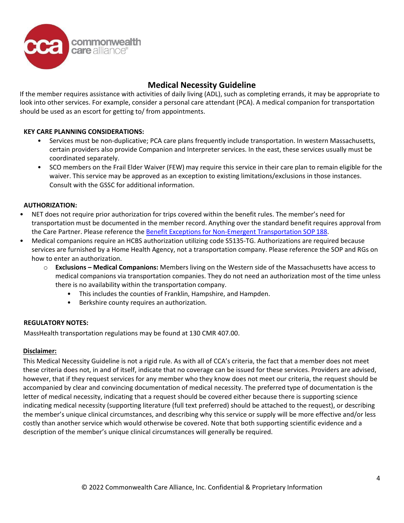

If the member requires assistance with activities of daily living (ADL), such as completing errands, it may be appropriate to look into other services. For example, consider a personal care attendant (PCA). A medical companion for transportation should be used as an escort for getting to/ from appointments.

## **KEY CARE PLANNING CONSIDERATIONS:**

- Services must be non-duplicative; PCA care plans frequently include transportation. In western Massachusetts, certain providers also provide Companion and Interpreter services. In the east, these services usually must be coordinated separately.
- SCO members on the Frail Elder Waiver (FEW) may require this service in their care plan to remain eligible for the waiver. This service may be approved as an exception to existing limitations/exclusions in those instances. Consult with the GSSC for additional information.

#### **AUTHORIZATION:**

- NET does not require prior authorization for trips covered within the benefit rules. The member's need for transportation must be documented in the member record. Anything over the standard benefit requires approval from the Care Partner. Please reference the [Benefit Exceptions for Non-Emergent Transportation SOP](https://commonground.commonwealthcare.org/resources/ccakh/Shared%20Documents/Standards%20of%20Practice%20(SOPs)/Benefit%20Exceptions%20for%20Non-Emergent%20Transportation%20SOP%20188.pdf) 188.
- Medical companions require an HCBS authorization utilizing code S5135-TG. Authorizations are required because services are furnished by a Home Health Agency, not a transportation company. Please reference the SOP and RGs on how to enter an authorization.
	- o **Exclusions – Medical Companions:** Members living on the Western side of the Massachusetts have access to medical companions via transportation companies. They do not need an authorization most of the time unless there is no availability within the transportation company.
		- This includes the counties of Franklin, Hampshire, and Hampden.
		- Berkshire county requires an authorization.

#### **REGULATORY NOTES:**

MassHealth transportation regulations may be found at 130 CMR 407.00.

#### **Disclaimer:**

This Medical Necessity Guideline is not a rigid rule. As with all of CCA's criteria, the fact that a member does not meet these criteria does not, in and of itself, indicate that no coverage can be issued for these services. Providers are advised, however, that if they request services for any member who they know does not meet our criteria, the request should be accompanied by clear and convincing documentation of medical necessity. The preferred type of documentation is the letter of medical necessity, indicating that a request should be covered either because there is supporting science indicating medical necessity (supporting literature (full text preferred) should be attached to the request), or describing the member's unique clinical circumstances, and describing why this service or supply will be more effective and/or less costly than another service which would otherwise be covered. Note that both supporting scientific evidence and a description of the member's unique clinical circumstances will generally be required.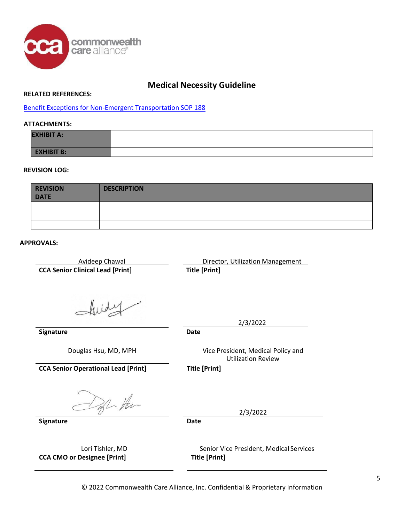

#### **RELATED REFERENCES:**

[Benefit Exceptions for Non-Emergent Transportation SOP 188](https://commonground.commonwealthcare.org/resources/ccakh/Shared%20Documents/Standards%20of%20Practice%20(SOPs)/Benefit%20Exceptions%20for%20Non-Emergent%20Transportation%20SOP%20188.pdf)

### **ATTACHMENTS:**

| <b>EXHIBIT A:</b> |  |
|-------------------|--|
| <b>EXHIBIT B:</b> |  |

#### **REVISION LOG:**

| <b>REVISION</b><br><b>DATE</b> | <b>DESCRIPTION</b> |
|--------------------------------|--------------------|
|                                |                    |
|                                |                    |
|                                |                    |

#### **APPROVALS:**

**CCA Senior Clinical Lead [Print] Title [Print]**

Avideep Chawal **Director**, Utilization Management

**Signature Date**

Douglas Hsu, MD, MPH Vice President, Medical Policy and Utilization Review

2/3/2022

**CCA Senior Operational Lead [Print] Title [Print]**

Of Hen

**Signature Date**

**CCA CMO or Designee [Print] Title [Print]**

Lori Tishler, MD Senior Vice President, Medical Services

2/3/2022